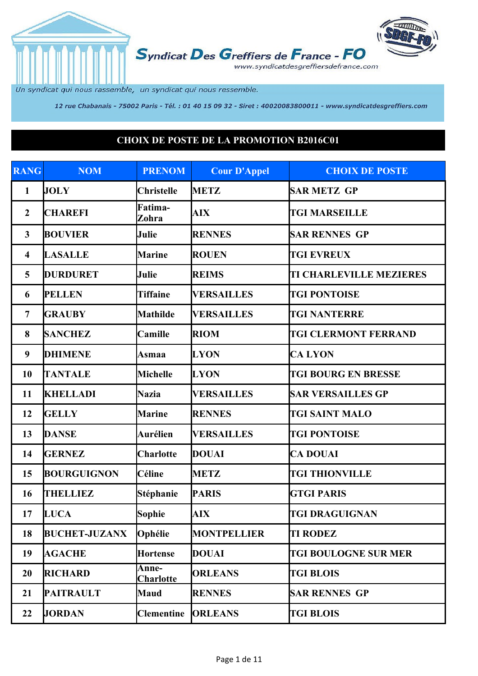

Un syndicat qui nous rassemble, un syndicat qui nous ressemble.

12 rue Chabanais - 75002 Paris - Tél. : 01 40 15 09 32 - Siret : 40020083800011 - www.syndicatdesgreffiers.com

## **CHOIX DE POSTE DE LA PROMOTION B2016C01**

| <b>RANG</b>             | <b>NOM</b>           | <b>PRENOM</b>             | <b>Cour D'Appel</b> | <b>CHOIX DE POSTE</b>          |
|-------------------------|----------------------|---------------------------|---------------------|--------------------------------|
| $\mathbf{1}$            | <b>JOLY</b>          | <b>Christelle</b>         | <b>METZ</b>         | <b>SAR METZ GP</b>             |
| $\boldsymbol{2}$        | <b>CHAREFI</b>       | Fatima-<br>Zohra          | <b>AIX</b>          | <b>TGI MARSEILLE</b>           |
| $\mathbf{3}$            | <b>BOUVIER</b>       | Julie                     | <b>RENNES</b>       | <b>SAR RENNES GP</b>           |
| $\overline{\mathbf{4}}$ | <b>LASALLE</b>       | <b>Marine</b>             | <b>ROUEN</b>        | <b>TGI EVREUX</b>              |
| 5                       | <b>DURDURET</b>      | Julie                     | <b>REIMS</b>        | <b>TI CHARLEVILLE MEZIERES</b> |
| 6                       | <b>PELLEN</b>        | <b>Tiffaine</b>           | <b>VERSAILLES</b>   | <b>TGI PONTOISE</b>            |
| $\overline{7}$          | <b>GRAUBY</b>        | <b>Mathilde</b>           | <b>VERSAILLES</b>   | <b>TGI NANTERRE</b>            |
| 8                       | <b>SANCHEZ</b>       | Camille                   | <b>RIOM</b>         | <b>TGI CLERMONT FERRAND</b>    |
| 9                       | <b>DHIMENE</b>       | Asmaa                     | <b>LYON</b>         | <b>CALYON</b>                  |
| 10                      | <b>TANTALE</b>       | <b>Michelle</b>           | <b>LYON</b>         | <b>TGI BOURG EN BRESSE</b>     |
| 11                      | <b>KHELLADI</b>      | <b>Nazia</b>              | <b>VERSAILLES</b>   | <b>SAR VERSAILLES GP</b>       |
| 12                      | <b>GELLY</b>         | <b>Marine</b>             | <b>RENNES</b>       | <b>TGI SAINT MALO</b>          |
| 13                      | <b>DANSE</b>         | Aurélien                  | <b>VERSAILLES</b>   | <b>TGI PONTOISE</b>            |
| 14                      | <b>GERNEZ</b>        | <b>Charlotte</b>          | <b>DOUAI</b>        | <b>CA DOUAI</b>                |
| 15                      | <b>BOURGUIGNON</b>   | Céline                    | <b>METZ</b>         | <b>TGI THIONVILLE</b>          |
| 16                      | <b>THELLIEZ</b>      | Stéphanie                 | <b>PARIS</b>        | <b>GTGI PARIS</b>              |
| 17                      | <b>LUCA</b>          | <b>Sophie</b>             | <b>AIX</b>          | <b>TGI DRAGUIGNAN</b>          |
| 18                      | <b>BUCHET-JUZANX</b> | Ophélie                   | <b>MONTPELLIER</b>  | <b>TI RODEZ</b>                |
| 19                      | <b>AGACHE</b>        | <b>Hortense</b>           | <b>DOUAI</b>        | <b>TGI BOULOGNE SUR MER</b>    |
| 20                      | <b>RICHARD</b>       | Anne-<br><b>Charlotte</b> | <b>ORLEANS</b>      | <b>TGI BLOIS</b>               |
| 21                      | <b>PAITRAULT</b>     | Maud                      | <b>RENNES</b>       | <b>SAR RENNES GP</b>           |
| 22                      | <b>JORDAN</b>        | <b>Clementine</b>         | <b>ORLEANS</b>      | <b>TGI BLOIS</b>               |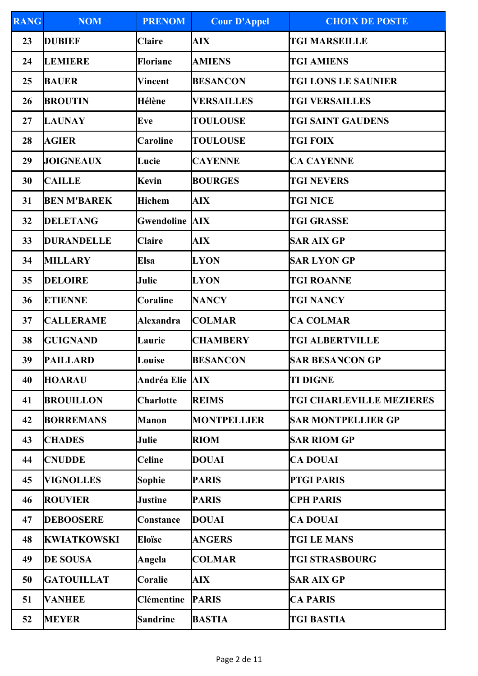| <b>RANG</b> | <b>NOM</b>         | <b>PRENOM</b>         | <b>Cour D'Appel</b> | <b>CHOIX DE POSTE</b>           |
|-------------|--------------------|-----------------------|---------------------|---------------------------------|
| 23          | <b>DUBIEF</b>      | <b>Claire</b>         | <b>AIX</b>          | <b>TGI MARSEILLE</b>            |
| 24          | LEMIERE            | <b>Floriane</b>       | <b>AMIENS</b>       | <b>TGI AMIENS</b>               |
| 25          | <b>BAUER</b>       | Vincent               | <b>BESANCON</b>     | <b>TGI LONS LE SAUNIER</b>      |
| 26          | <b>BROUTIN</b>     | Hélène                | <b>VERSAILLES</b>   | <b>TGI VERSAILLES</b>           |
| 27          | <b>LAUNAY</b>      | Eve                   | <b>TOULOUSE</b>     | <b>TGI SAINT GAUDENS</b>        |
| 28          | <b>AGIER</b>       | Caroline              | <b>TOULOUSE</b>     | <b>TGI FOIX</b>                 |
| 29          | <b>JOIGNEAUX</b>   | Lucie                 | <b>CAYENNE</b>      | <b>CA CAYENNE</b>               |
| 30          | <b>CAILLE</b>      | <b>Kevin</b>          | <b>BOURGES</b>      | <b>TGI NEVERS</b>               |
| 31          | <b>BEN M'BAREK</b> | <b>Hichem</b>         | <b>AIX</b>          | <b>TGI NICE</b>                 |
| 32          | <b>DELETANG</b>    | <b>Gwendoline AIX</b> |                     | <b>TGI GRASSE</b>               |
| 33          | <b>DURANDELLE</b>  | <b>Claire</b>         | <b>AIX</b>          | <b>SAR AIX GP</b>               |
| 34          | <b>MILLARY</b>     | Elsa                  | <b>LYON</b>         | <b>SAR LYON GP</b>              |
| 35          | <b>DELOIRE</b>     | Julie                 | <b>LYON</b>         | <b>TGI ROANNE</b>               |
| 36          | <b>ETIENNE</b>     | <b>Coraline</b>       | <b>NANCY</b>        | <b>TGI NANCY</b>                |
| 37          | <b>CALLERAME</b>   | <b>Alexandra</b>      | <b>COLMAR</b>       | <b>CA COLMAR</b>                |
| 38          | <b>GUIGNAND</b>    | Laurie                | <b>CHAMBERY</b>     | <b>TGI ALBERTVILLE</b>          |
| 39          | <b>PAILLARD</b>    | Louise                | <b>BESANCON</b>     | <b>SAR BESANCON GP</b>          |
| 40          | <b>HOARAU</b>      | Andréa Elie AIX       |                     | <b>TI DIGNE</b>                 |
| 41          | <b>BROUILLON</b>   | <b>Charlotte</b>      | <b>REIMS</b>        | <b>TGI CHARLEVILLE MEZIERES</b> |
| 42          | <b>BORREMANS</b>   | <b>Manon</b>          | <b>MONTPELLIER</b>  | <b>SAR MONTPELLIER GP</b>       |
| 43          | <b>CHADES</b>      | Julie                 | <b>RIOM</b>         | <b>SAR RIOM GP</b>              |
| 44          | <b>CNUDDE</b>      | <b>Celine</b>         | <b>DOUAI</b>        | <b>CA DOUAI</b>                 |
| 45          | <b>VIGNOLLES</b>   | <b>Sophie</b>         | <b>PARIS</b>        | <b>PTGI PARIS</b>               |
| 46          | <b>ROUVIER</b>     | <b>Justine</b>        | <b>PARIS</b>        | <b>CPH PARIS</b>                |
| 47          | <b>DEBOOSERE</b>   | Constance             | <b>DOUAI</b>        | <b>CA DOUAI</b>                 |
| 48          | <b>KWIATKOWSKI</b> | <b>Eloïse</b>         | <b>ANGERS</b>       | <b>TGI LE MANS</b>              |
| 49          | <b>DE SOUSA</b>    | Angela                | <b>COLMAR</b>       | <b>TGI STRASBOURG</b>           |
| 50          | <b>GATOUILLAT</b>  | Coralie               | <b>AIX</b>          | <b>SAR AIX GP</b>               |
| 51          | <b>VANHEE</b>      | <b>Clémentine</b>     | <b>PARIS</b>        | <b>CA PARIS</b>                 |
| 52          | <b>MEYER</b>       | <b>Sandrine</b>       | <b>BASTIA</b>       | <b>TGI BASTIA</b>               |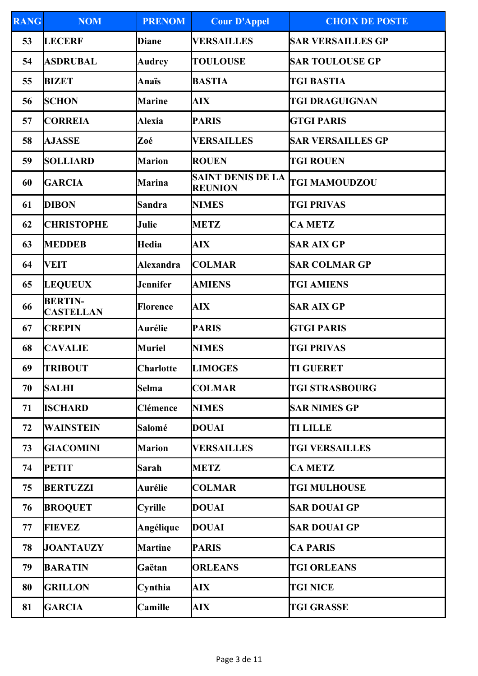| <b>RANG</b> | <b>NOM</b>                         | <b>PRENOM</b>    | <b>Cour D'Appel</b>                        | <b>CHOIX DE POSTE</b>    |
|-------------|------------------------------------|------------------|--------------------------------------------|--------------------------|
| 53          | <b>LECERF</b>                      | <b>Diane</b>     | <b>VERSAILLES</b>                          | <b>SAR VERSAILLES GP</b> |
| 54          | <b>ASDRUBAL</b>                    | <b>Audrey</b>    | <b>TOULOUSE</b>                            | <b>SAR TOULOUSE GP</b>   |
| 55          | <b>BIZET</b>                       | Anaïs            | <b>BASTIA</b>                              | <b>TGI BASTIA</b>        |
| 56          | <b>SCHON</b>                       | <b>Marine</b>    | AIX                                        | <b>TGI DRAGUIGNAN</b>    |
| 57          | <b>CORREIA</b>                     | <b>Alexia</b>    | <b>PARIS</b>                               | <b>GTGI PARIS</b>        |
| 58          | <b>AJASSE</b>                      | Zoé              | <b>VERSAILLES</b>                          | <b>SAR VERSAILLES GP</b> |
| 59          | <b>SOLLIARD</b>                    | <b>Marion</b>    | <b>ROUEN</b>                               | <b>TGI ROUEN</b>         |
| 60          | <b>GARCIA</b>                      | <b>Marina</b>    | <b>SAINT DENIS DE LA</b><br><b>REUNION</b> | <b>TGI MAMOUDZOU</b>     |
| 61          | DIBON                              | <b>Sandra</b>    | <b>NIMES</b>                               | <b>TGI PRIVAS</b>        |
| 62          | <b>CHRISTOPHE</b>                  | Julie            | <b>METZ</b>                                | <b>CA METZ</b>           |
| 63          | <b>MEDDEB</b>                      | Hedia            | <b>AIX</b>                                 | <b>SAR AIX GP</b>        |
| 64          | <b>VEIT</b>                        | <b>Alexandra</b> | <b>COLMAR</b>                              | <b>SAR COLMAR GP</b>     |
| 65          | <b>LEQUEUX</b>                     | <b>Jennifer</b>  | <b>AMIENS</b>                              | <b>TGI AMIENS</b>        |
| 66          | <b>BERTIN-</b><br><b>CASTELLAN</b> | <b>Florence</b>  | <b>AIX</b>                                 | <b>SAR AIX GP</b>        |
| 67          | <b>CREPIN</b>                      | Aurélie          | <b>PARIS</b>                               | <b>GTGI PARIS</b>        |
| 68          | <b>CAVALIE</b>                     | <b>Muriel</b>    | <b>NIMES</b>                               | <b>TGI PRIVAS</b>        |
| 69          | <b>TRIBOUT</b>                     | <b>Charlotte</b> | <b>LIMOGES</b>                             | <b>TI GUERET</b>         |
| 70          | <b>SALHI</b>                       | <b>Selma</b>     | <b>COLMAR</b>                              | <b>TGI STRASBOURG</b>    |
| 71          | <b>ISCHARD</b>                     | Clémence         | <b>NIMES</b>                               | <b>SAR NIMES GP</b>      |
| 72          | <b>WAINSTEIN</b>                   | Salomé           | <b>DOUAI</b>                               | <b>TI LILLE</b>          |
| 73          | <b>GIACOMINI</b>                   | <b>Marion</b>    | <b>VERSAILLES</b>                          | <b>TGI VERSAILLES</b>    |
| 74          | <b>PETIT</b>                       | <b>Sarah</b>     | <b>METZ</b>                                | <b>CA METZ</b>           |
| 75          | <b>BERTUZZI</b>                    | <b>Aurélie</b>   | <b>COLMAR</b>                              | <b>TGI MULHOUSE</b>      |
| 76          | <b>BROQUET</b>                     | <b>Cyrille</b>   | <b>DOUAI</b>                               | <b>SAR DOUAI GP</b>      |
| 77          | <b>FIEVEZ</b>                      | Angélique        | <b>DOUAI</b>                               | <b>SAR DOUAI GP</b>      |
| 78          | <b>JOANTAUZY</b>                   | <b>Martine</b>   | <b>PARIS</b>                               | <b>CA PARIS</b>          |
| 79          | <b>BARATIN</b>                     | Gaëtan           | <b>ORLEANS</b>                             | <b>TGI ORLEANS</b>       |
| 80          | <b>GRILLON</b>                     | Cynthia          | <b>AIX</b>                                 | <b>TGI NICE</b>          |
| 81          | <b>GARCIA</b>                      | Camille          | <b>AIX</b>                                 | <b>TGI GRASSE</b>        |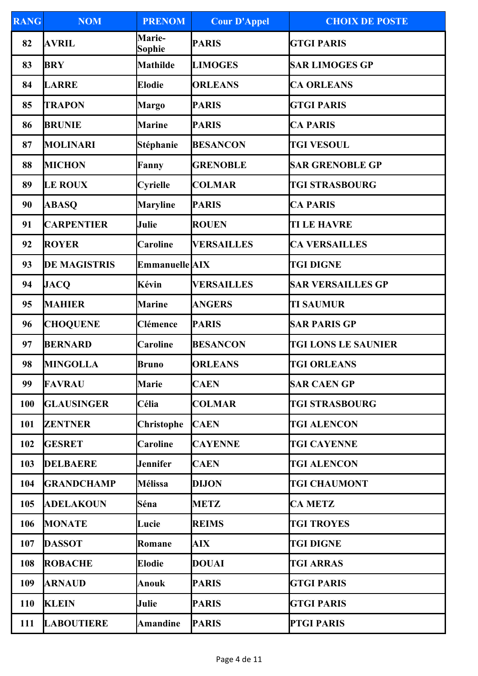| <b>RANG</b> | <b>NOM</b>          | <b>PRENOM</b>         | <b>Cour D'Appel</b> | <b>CHOIX DE POSTE</b>      |
|-------------|---------------------|-----------------------|---------------------|----------------------------|
| 82          | <b>AVRIL</b>        | Marie-<br>Sophie      | <b>PARIS</b>        | <b>GTGI PARIS</b>          |
| 83          | <b>BRY</b>          | <b>Mathilde</b>       | <b>LIMOGES</b>      | <b>SAR LIMOGES GP</b>      |
| 84          | <b>LARRE</b>        | <b>Elodie</b>         | <b>ORLEANS</b>      | <b>CA ORLEANS</b>          |
| 85          | <b>TRAPON</b>       | <b>Margo</b>          | <b>PARIS</b>        | <b>GTGI PARIS</b>          |
| 86          | <b>BRUNIE</b>       | <b>Marine</b>         | <b>PARIS</b>        | <b>CA PARIS</b>            |
| 87          | <b>MOLINARI</b>     | <b>Stéphanie</b>      | <b>BESANCON</b>     | <b>TGI VESOUL</b>          |
| 88          | <b>MICHON</b>       | Fanny                 | <b>GRENOBLE</b>     | <b>SAR GRENOBLE GP</b>     |
| 89          | <b>LE ROUX</b>      | <b>Cyrielle</b>       | <b>COLMAR</b>       | <b>TGI STRASBOURG</b>      |
| 90          | <b>ABASO</b>        | <b>Maryline</b>       | <b>PARIS</b>        | <b>CA PARIS</b>            |
| 91          | <b>CARPENTIER</b>   | Julie                 | <b>ROUEN</b>        | <b>TI LE HAVRE</b>         |
| 92          | <b>ROYER</b>        | <b>Caroline</b>       | <b>VERSAILLES</b>   | <b>CA VERSAILLES</b>       |
| 93          | <b>DE MAGISTRIS</b> | <b>Emmanuelle AIX</b> |                     | <b>TGI DIGNE</b>           |
| 94          | <b>JACQ</b>         | Kévin                 | <b>VERSAILLES</b>   | <b>SAR VERSAILLES GP</b>   |
| 95          | <b>MAHIER</b>       | <b>Marine</b>         | <b>ANGERS</b>       | <b>TI SAUMUR</b>           |
| 96          | <b>CHOQUENE</b>     | Clémence              | <b>PARIS</b>        | <b>SAR PARIS GP</b>        |
| 97          | <b>BERNARD</b>      | <b>Caroline</b>       | <b>BESANCON</b>     | <b>TGI LONS LE SAUNIER</b> |
| 98          | <b>MINGOLLA</b>     | <b>Bruno</b>          | <b>ORLEANS</b>      | <b>TGI ORLEANS</b>         |
| 99          | <b>FAVRAU</b>       | <b>Marie</b>          | <b>CAEN</b>         | <b>SAR CAEN GP</b>         |
| 100         | <b>GLAUSINGER</b>   | Célia                 | <b>COLMAR</b>       | <b>TGI STRASBOURG</b>      |
| 101         | <b>ZENTNER</b>      | Christophe            | <b>CAEN</b>         | <b>TGI ALENCON</b>         |
| 102         | <b>GESRET</b>       | <b>Caroline</b>       | <b>CAYENNE</b>      | <b>TGI CAYENNE</b>         |
| 103         | <b>DELBAERE</b>     | <b>Jennifer</b>       | <b>CAEN</b>         | <b>TGI ALENCON</b>         |
| 104         | <b>GRANDCHAMP</b>   | <b>Mélissa</b>        | <b>DIJON</b>        | <b>TGI CHAUMONT</b>        |
| 105         | <b>ADELAKOUN</b>    | Séna                  | <b>METZ</b>         | <b>CA METZ</b>             |
| 106         | <b>MONATE</b>       | Lucie                 | <b>REIMS</b>        | <b>TGI TROYES</b>          |
| 107         | <b>DASSOT</b>       | Romane                | <b>AIX</b>          | <b>TGI DIGNE</b>           |
| 108         | <b>ROBACHE</b>      | <b>Elodie</b>         | <b>DOUAI</b>        | <b>TGI ARRAS</b>           |
| 109         | <b>ARNAUD</b>       | Anouk                 | <b>PARIS</b>        | <b>GTGI PARIS</b>          |
| <b>110</b>  | <b>KLEIN</b>        | Julie                 | <b>PARIS</b>        | <b>GTGI PARIS</b>          |
| 111         | <b>LABOUTIERE</b>   | <b>Amandine</b>       | <b>PARIS</b>        | <b>PTGI PARIS</b>          |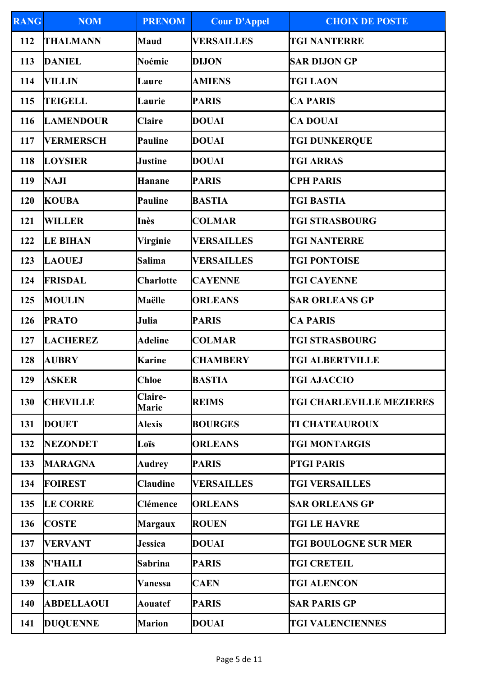| <b>RANG</b> | <b>NOM</b>        | <b>PRENOM</b>           | <b>Cour D'Appel</b> | <b>CHOIX DE POSTE</b>           |
|-------------|-------------------|-------------------------|---------------------|---------------------------------|
| 112         | <b>THALMANN</b>   | <b>Maud</b>             | <b>VERSAILLES</b>   | <b>TGI NANTERRE</b>             |
| 113         | <b>DANIEL</b>     | Noémie                  | <b>DIJON</b>        | <b>SAR DIJON GP</b>             |
| 114         | VILLIN            | Laure                   | <b>AMIENS</b>       | <b>TGI LAON</b>                 |
| 115         | <b>TEIGELL</b>    | Laurie                  | <b>PARIS</b>        | <b>CA PARIS</b>                 |
| 116         | <b>LAMENDOUR</b>  | <b>Claire</b>           | DOUAI               | <b>CA DOUAI</b>                 |
| 117         | <b>VERMERSCH</b>  | Pauline                 | <b>DOUAI</b>        | <b>TGI DUNKERQUE</b>            |
| 118         | <b>LOYSIER</b>    | <b>Justine</b>          | <b>DOUAI</b>        | <b>TGI ARRAS</b>                |
| 119         | <b>NAJI</b>       | <b>Hanane</b>           | <b>PARIS</b>        | <b>CPH PARIS</b>                |
| 120         | <b>KOUBA</b>      | Pauline                 | <b>BASTIA</b>       | <b>TGI BASTIA</b>               |
| 121         | <b>WILLER</b>     | Inès                    | <b>COLMAR</b>       | <b>TGI STRASBOURG</b>           |
| 122         | <b>LE BIHAN</b>   | <b>Virginie</b>         | <b>VERSAILLES</b>   | <b>TGI NANTERRE</b>             |
| 123         | <b>LAOUEJ</b>     | <b>Salima</b>           | <b>VERSAILLES</b>   | <b>TGI PONTOISE</b>             |
| 124         | FRISDAL           | <b>Charlotte</b>        | <b>CAYENNE</b>      | <b>TGI CAYENNE</b>              |
| 125         | <b>MOULIN</b>     | Maëlle                  | <b>ORLEANS</b>      | <b>SAR ORLEANS GP</b>           |
| 126         | <b>PRATO</b>      | Julia                   | <b>PARIS</b>        | <b>CA PARIS</b>                 |
| 127         | <b>LACHEREZ</b>   | <b>Adeline</b>          | <b>COLMAR</b>       | <b>TGI STRASBOURG</b>           |
| 128         | <b>AUBRY</b>      | <b>Karine</b>           | <b>CHAMBERY</b>     | <b>TGI ALBERTVILLE</b>          |
| 129         | <b>ASKER</b>      | <b>Chloe</b>            | <b>BASTIA</b>       | <b>TGI AJACCIO</b>              |
| 130         | <b>CHEVILLE</b>   | Claire-<br><b>Marie</b> | <b>REIMS</b>        | <b>TGI CHARLEVILLE MEZIERES</b> |
| 131         | <b>DOUET</b>      | <b>Alexis</b>           | <b>BOURGES</b>      | <b>TI CHATEAUROUX</b>           |
| 132         | <b>NEZONDET</b>   | Loïs                    | <b>ORLEANS</b>      | <b>TGI MONTARGIS</b>            |
| 133         | <b>MARAGNA</b>    | <b>Audrey</b>           | <b>PARIS</b>        | <b>PTGI PARIS</b>               |
| 134         | <b>FOIREST</b>    | <b>Claudine</b>         | <b>VERSAILLES</b>   | <b>TGI VERSAILLES</b>           |
| 135         | <b>LE CORRE</b>   | Clémence                | <b>ORLEANS</b>      | <b>SAR ORLEANS GP</b>           |
| 136         | <b>COSTE</b>      | <b>Margaux</b>          | <b>ROUEN</b>        | <b>TGI LE HAVRE</b>             |
| 137         | <b>VERVANT</b>    | <b>Jessica</b>          | DOUAI               | <b>TGI BOULOGNE SUR MER</b>     |
| 138         | <b>N'HAILI</b>    | <b>Sabrina</b>          | <b>PARIS</b>        | <b>TGI CRETEIL</b>              |
| 139         | <b>CLAIR</b>      | Vanessa                 | <b>CAEN</b>         | <b>TGI ALENCON</b>              |
| 140         | <b>ABDELLAOUI</b> | <b>Aouatef</b>          | <b>PARIS</b>        | <b>SAR PARIS GP</b>             |
| 141         | <b>DUQUENNE</b>   | <b>Marion</b>           | <b>DOUAI</b>        | <b>TGI VALENCIENNES</b>         |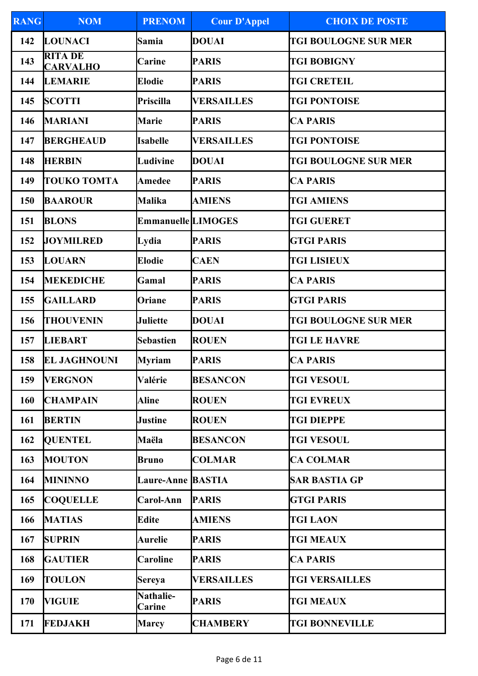| <b>RANG</b> | <b>NOM</b>                        | <b>PRENOM</b>                     | <b>Cour D'Appel</b> | <b>CHOIX DE POSTE</b>       |
|-------------|-----------------------------------|-----------------------------------|---------------------|-----------------------------|
| 142         | <b>LOUNACI</b>                    | Samia                             | <b>DOUAI</b>        | <b>TGI BOULOGNE SUR MER</b> |
| 143         | <b>RITA DE</b><br><b>CARVALHO</b> | <b>Carine</b>                     | <b>PARIS</b>        | <b>TGI BOBIGNY</b>          |
| 144         | <b>LEMARIE</b>                    | <b>Elodie</b>                     | <b>PARIS</b>        | <b>TGI CRETEIL</b>          |
| 145         | <b>SCOTTI</b>                     | Priscilla                         | <b>VERSAILLES</b>   | <b>TGI PONTOISE</b>         |
| 146         | <b>MARIANI</b>                    | <b>Marie</b>                      | <b>PARIS</b>        | <b>CA PARIS</b>             |
| 147         | <b>BERGHEAUD</b>                  | <b>Isabelle</b>                   | <b>VERSAILLES</b>   | <b>TGI PONTOISE</b>         |
| 148         | <b>HERBIN</b>                     | Ludivine                          | <b>DOUAI</b>        | <b>TGI BOULOGNE SUR MER</b> |
| 149         | <b>TOUKO TOMTA</b>                | <b>Amedee</b>                     | <b>PARIS</b>        | <b>CA PARIS</b>             |
| 150         | <b>BAAROUR</b>                    | Malika                            | <b>AMIENS</b>       | <b>TGI AMIENS</b>           |
| 151         | <b>BLONS</b>                      | <b>Emmanuelle LIMOGES</b>         |                     | <b>TGI GUERET</b>           |
| 152         | <b>JOYMILRED</b>                  | Lydia                             | <b>PARIS</b>        | <b>GTGI PARIS</b>           |
| 153         | <b>LOUARN</b>                     | <b>Elodie</b>                     | <b>CAEN</b>         | <b>TGI LISIEUX</b>          |
| 154         | <b>MEKEDICHE</b>                  | Gamal                             | <b>PARIS</b>        | <b>CA PARIS</b>             |
| 155         | <b>GAILLARD</b>                   | Oriane                            | <b>PARIS</b>        | <b>GTGI PARIS</b>           |
| 156         | <b>THOUVENIN</b>                  | <b>Juliette</b>                   | <b>DOUAI</b>        | <b>TGI BOULOGNE SUR MER</b> |
| 157         | <b>LIEBART</b>                    | <b>Sebastien</b>                  | <b>ROUEN</b>        | <b>TGI LE HAVRE</b>         |
| 158         | <b>EL JAGHNOUNI</b>               | <b>Myriam</b>                     | <b>PARIS</b>        | <b>CA PARIS</b>             |
| 159         | <b>VERGNON</b>                    | Valérie                           | <b>BESANCON</b>     | <b>TGI VESOUL</b>           |
| 160         | <b>CHAMPAIN</b>                   | <b>Aline</b>                      | <b>ROUEN</b>        | <b>TGI EVREUX</b>           |
| 161         | <b>BERTIN</b>                     | Justine                           | <b>ROUEN</b>        | <b>TGI DIEPPE</b>           |
| 162         | <b>QUENTEL</b>                    | Maëla                             | <b>BESANCON</b>     | <b>TGI VESOUL</b>           |
| 163         | <b>MOUTON</b>                     | <b>Bruno</b>                      | <b>COLMAR</b>       | <b>CA COLMAR</b>            |
| 164         | <b>MININNO</b>                    | <b>Laure-Anne BASTIA</b>          |                     | <b>SAR BASTIA GP</b>        |
| 165         | <b>COQUELLE</b>                   | Carol-Ann                         | <b>PARIS</b>        | <b>GTGI PARIS</b>           |
| 166         | <b>MATIAS</b>                     | <b>Edite</b>                      | <b>AMIENS</b>       | <b>TGI LAON</b>             |
| 167         | <b>SUPRIN</b>                     | <b>Aurelie</b>                    | <b>PARIS</b>        | <b>TGI MEAUX</b>            |
| 168         | <b>GAUTIER</b>                    | <b>Caroline</b>                   | <b>PARIS</b>        | <b>CA PARIS</b>             |
| 169         | <b>TOULON</b>                     | Sereya                            | <b>VERSAILLES</b>   | <b>TGI VERSAILLES</b>       |
| 170         | <b>VIGUIE</b>                     | <b>Nathalie-</b><br><b>Carine</b> | <b>PARIS</b>        | <b>TGI MEAUX</b>            |
| 171         | <b>FEDJAKH</b>                    | <b>Marcy</b>                      | <b>CHAMBERY</b>     | <b>TGI BONNEVILLE</b>       |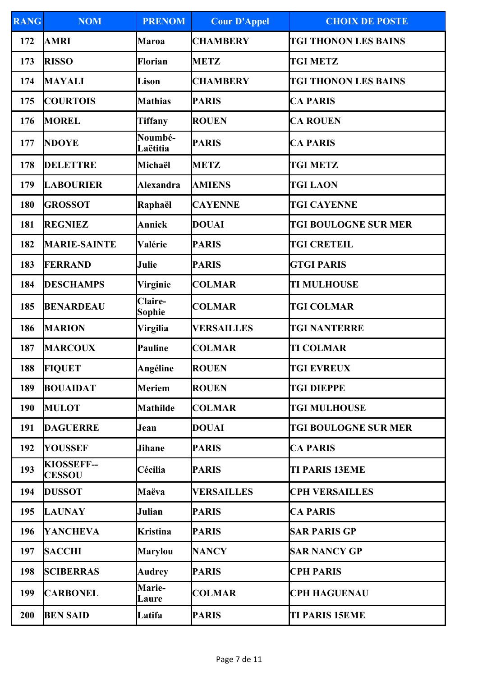| <b>RANG</b> | <b>NOM</b>                         | <b>PRENOM</b>            | <b>Cour D'Appel</b> | <b>CHOIX DE POSTE</b>       |
|-------------|------------------------------------|--------------------------|---------------------|-----------------------------|
| 172         | <b>AMRI</b>                        | <b>Maroa</b>             | <b>CHAMBERY</b>     | <b>TGI THONON LES BAINS</b> |
| 173         | <b>RISSO</b>                       | Florian                  | <b>METZ</b>         | <b>TGI METZ</b>             |
| 174         | <b>MAYALI</b>                      | Lison                    | <b>CHAMBERY</b>     | <b>TGI THONON LES BAINS</b> |
| 175         | <b>COURTOIS</b>                    | <b>Mathias</b>           | <b>PARIS</b>        | <b>CA PARIS</b>             |
| 176         | <b>MOREL</b>                       | <b>Tiffany</b>           | <b>ROUEN</b>        | <b>CA ROUEN</b>             |
| 177         | <b>NDOYE</b>                       | Noumbé-<br>Laëtitia      | <b>PARIS</b>        | <b>CA PARIS</b>             |
| 178         | <b>DELETTRE</b>                    | Michaël                  | <b>METZ</b>         | <b>TGI METZ</b>             |
| 179         | <b>LABOURIER</b>                   | <b>Alexandra</b>         | <b>AMIENS</b>       | <b>TGI LAON</b>             |
| 180         | <b>GROSSOT</b>                     | Raphaël                  | <b>CAYENNE</b>      | <b>TGI CAYENNE</b>          |
| 181         | <b>REGNIEZ</b>                     | Annick                   | <b>DOUAI</b>        | <b>TGI BOULOGNE SUR MER</b> |
| 182         | <b>MARIE-SAINTE</b>                | Valérie                  | <b>PARIS</b>        | <b>TGI CRETEIL</b>          |
| 183         | FERRAND                            | Julie                    | <b>PARIS</b>        | <b>GTGI PARIS</b>           |
| 184         | <b>DESCHAMPS</b>                   | <b>Virginie</b>          | <b>COLMAR</b>       | <b>TI MULHOUSE</b>          |
| 185         | <b>BENARDEAU</b>                   | <b>Claire-</b><br>Sophie | <b>COLMAR</b>       | <b>TGI COLMAR</b>           |
| 186         | <b>MARION</b>                      | <b>Virgilia</b>          | <b>VERSAILLES</b>   | <b>TGI NANTERRE</b>         |
| 187         | <b>MARCOUX</b>                     | <b>Pauline</b>           | <b>COLMAR</b>       | <b>TI COLMAR</b>            |
| 188         | <b>FIQUET</b>                      | Angéline                 | <b>ROUEN</b>        | <b>TGI EVREUX</b>           |
| 189         | <b>BOUAIDAT</b>                    | <b>Meriem</b>            | <b>ROUEN</b>        | <b>TGI DIEPPE</b>           |
| <b>190</b>  | <b>MULOT</b>                       | <b>Mathilde</b>          | <b>COLMAR</b>       | <b>TGI MULHOUSE</b>         |
| 191         | <b>DAGUERRE</b>                    | Jean                     | <b>DOUAI</b>        | <b>TGI BOULOGNE SUR MER</b> |
| 192         | <b>YOUSSEF</b>                     | <b>Jihane</b>            | <b>PARIS</b>        | <b>CA PARIS</b>             |
| 193         | <b>KIOSSEFF--</b><br><b>CESSOU</b> | Cécilia                  | <b>PARIS</b>        | <b>TI PARIS 13EME</b>       |
| 194         | <b>DUSSOT</b>                      | Maëva                    | <b>VERSAILLES</b>   | <b>CPH VERSAILLES</b>       |
| 195         | <b>LAUNAY</b>                      | Julian                   | <b>PARIS</b>        | <b>CA PARIS</b>             |
| 196         | <b>YANCHEVA</b>                    | Kristina                 | <b>PARIS</b>        | <b>SAR PARIS GP</b>         |
| 197         | <b>SACCHI</b>                      | <b>Marylou</b>           | <b>NANCY</b>        | <b>SAR NANCY GP</b>         |
| 198         | <b>SCIBERRAS</b>                   | <b>Audrey</b>            | <b>PARIS</b>        | <b>CPH PARIS</b>            |
| 199         | <b>CARBONEL</b>                    | <b>Marie-</b><br>Laure   | <b>COLMAR</b>       | <b>CPH HAGUENAU</b>         |
| 200         | <b>BEN SAID</b>                    | Latifa                   | <b>PARIS</b>        | <b>TI PARIS 15EME</b>       |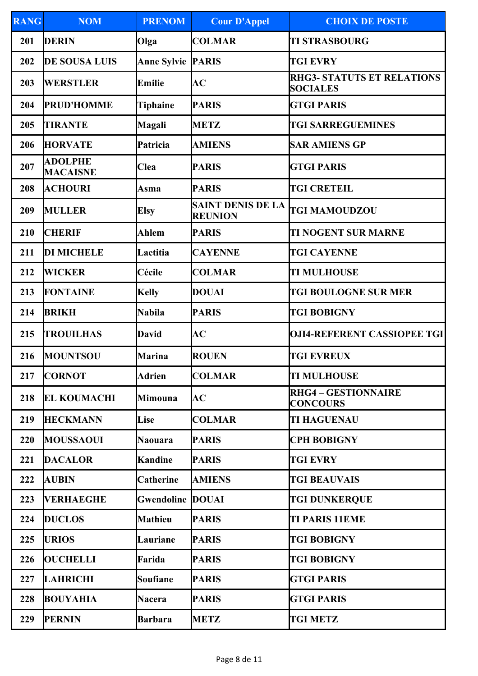| <b>RANG</b> | <b>NOM</b>                        | <b>PRENOM</b>            | <b>Cour D'Appel</b>                        | <b>CHOIX DE POSTE</b>                                |
|-------------|-----------------------------------|--------------------------|--------------------------------------------|------------------------------------------------------|
| 201         | <b>DERIN</b>                      | Olga                     | <b>COLMAR</b>                              | <b>TI STRASBOURG</b>                                 |
| 202         | <b>DE SOUSA LUIS</b>              | <b>Anne Sylvie PARIS</b> |                                            | <b>TGI EVRY</b>                                      |
| 203         | <b>WERSTLER</b>                   | Emilie                   | AC                                         | <b>RHG3- STATUTS ET RELATIONS</b><br><b>SOCIALES</b> |
| 204         | <b>PRUD'HOMME</b>                 | Tiphaine                 | <b>PARIS</b>                               | <b>GTGI PARIS</b>                                    |
| 205         | <b>TIRANTE</b>                    | <b>Magali</b>            | <b>METZ</b>                                | <b>TGI SARREGUEMINES</b>                             |
| 206         | <b>HORVATE</b>                    | Patricia                 | <b>AMIENS</b>                              | <b>SAR AMIENS GP</b>                                 |
| 207         | <b>ADOLPHE</b><br><b>MACAISNE</b> | <b>Clea</b>              | <b>PARIS</b>                               | <b>GTGI PARIS</b>                                    |
| 208         | <b>ACHOURI</b>                    | Asma                     | <b>PARIS</b>                               | <b>TGI CRETEIL</b>                                   |
| 209         | <b>MULLER</b>                     | <b>Elsy</b>              | <b>SAINT DENIS DE LA</b><br><b>REUNION</b> | <b>TGI MAMOUDZOU</b>                                 |
| 210         | <b>CHERIF</b>                     | Ahlem                    | <b>PARIS</b>                               | <b>TI NOGENT SUR MARNE</b>                           |
| 211         | <b>DI MICHELE</b>                 | Laetitia                 | <b>CAYENNE</b>                             | <b>TGI CAYENNE</b>                                   |
| 212         | <b>WICKER</b>                     | Cécile                   | <b>COLMAR</b>                              | <b>TI MULHOUSE</b>                                   |
| 213         | <b>FONTAINE</b>                   | <b>Kelly</b>             | <b>DOUAI</b>                               | <b>TGI BOULOGNE SUR MER</b>                          |
| 214         | <b>BRIKH</b>                      | <b>Nabila</b>            | <b>PARIS</b>                               | <b>TGI BOBIGNY</b>                                   |
| 215         | <b>TROUILHAS</b>                  | <b>David</b>             | AC                                         | <b>OJI4-REFERENT CASSIOPEE TGI</b>                   |
| 216         | MOUNTSOU                          | <b>Marina</b>            | <b>ROUEN</b>                               | <b>TGI EVREUX</b>                                    |
| 217         | <b>CORNOT</b>                     | Adrien                   | COLMAR                                     | <b>TI MULHOUSE</b>                                   |
| 218         | <b>EL KOUMACHI</b>                | Mimouna                  | AC                                         | <b>RHG4 - GESTIONNAIRE</b><br><b>CONCOURS</b>        |
| 219         | <b>HECKMANN</b>                   | Lise                     | <b>COLMAR</b>                              | <b>TI HAGUENAU</b>                                   |
| 220         | <b>MOUSSAOUI</b>                  | <b>Naouara</b>           | <b>PARIS</b>                               | <b>CPH BOBIGNY</b>                                   |
| 221         | <b>DACALOR</b>                    | <b>Kandine</b>           | <b>PARIS</b>                               | <b>TGI EVRY</b>                                      |
| 222         | <b>AUBIN</b>                      | <b>Catherine</b>         | <b>AMIENS</b>                              | <b>TGI BEAUVAIS</b>                                  |
| 223         | <b>VERHAEGHE</b>                  | <b>Gwendoline DOUAI</b>  |                                            | <b>TGI DUNKERQUE</b>                                 |
| 224         | <b>DUCLOS</b>                     | <b>Mathieu</b>           | <b>PARIS</b>                               | <b>TI PARIS 11EME</b>                                |
| 225         | <b>URIOS</b>                      | Lauriane                 | <b>PARIS</b>                               | <b>TGI BOBIGNY</b>                                   |
| 226         | <b>OUCHELLI</b>                   | Farida                   | <b>PARIS</b>                               | <b>TGI BOBIGNY</b>                                   |
| 227         | <b>LAHRICHI</b>                   | <b>Soufiane</b>          | <b>PARIS</b>                               | <b>GTGI PARIS</b>                                    |
| 228         | <b>BOUYAHIA</b>                   | <b>Nacera</b>            | <b>PARIS</b>                               | <b>GTGI PARIS</b>                                    |
| 229         | <b>PERNIN</b>                     | <b>Barbara</b>           | <b>METZ</b>                                | <b>TGI METZ</b>                                      |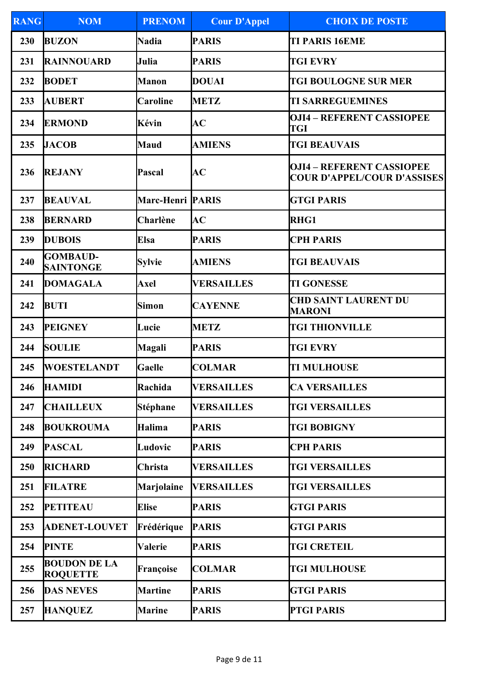| <b>RANG</b> | <b>NOM</b>                             | <b>PRENOM</b>            | <b>Cour D'Appel</b> | <b>CHOIX DE POSTE</b>                                                  |
|-------------|----------------------------------------|--------------------------|---------------------|------------------------------------------------------------------------|
| 230         | <b>BUZON</b>                           | <b>Nadia</b>             | <b>PARIS</b>        | <b>TI PARIS 16EME</b>                                                  |
| 231         | <b>RAINNOUARD</b>                      | Julia                    | <b>PARIS</b>        | <b>TGI EVRY</b>                                                        |
| 232         | <b>BODET</b>                           | <b>Manon</b>             | <b>DOUAI</b>        | <b>TGI BOULOGNE SUR MER</b>                                            |
| 233         | <b>AUBERT</b>                          | Caroline                 | <b>METZ</b>         | <b>TI SARREGUEMINES</b>                                                |
| 234         | <b>ERMOND</b>                          | Kévin                    | AC                  | <b>OJI4 - REFERENT CASSIOPEE</b><br><b>TGI</b>                         |
| 235         | <b>JACOB</b>                           | <b>Maud</b>              | <b>AMIENS</b>       | <b>TGI BEAUVAIS</b>                                                    |
| 236         | <b>REJANY</b>                          | Pascal                   | AC                  | <b>OJI4 – REFERENT CASSIOPEE</b><br><b>COUR D'APPEL/COUR D'ASSISES</b> |
| 237         | <b>BEAUVAL</b>                         | <b>Marc-Henri  PARIS</b> |                     | <b>GTGI PARIS</b>                                                      |
| 238         | <b>BERNARD</b>                         | Charlène                 | AC                  | <b>RHG1</b>                                                            |
| 239         | <b>DUBOIS</b>                          | <b>Elsa</b>              | <b>PARIS</b>        | <b>CPH PARIS</b>                                                       |
| 240         | <b>GOMBAUD-</b><br><b>SAINTONGE</b>    | <b>Sylvie</b>            | <b>AMIENS</b>       | <b>TGI BEAUVAIS</b>                                                    |
| 241         | <b>DOMAGALA</b>                        | Axel                     | <b>VERSAILLES</b>   | <b>TI GONESSE</b>                                                      |
| 242         | <b>BUTI</b>                            | <b>Simon</b>             | <b>CAYENNE</b>      | <b>CHD SAINT LAURENT DU</b><br><b>MARONI</b>                           |
| 243         | <b>PEIGNEY</b>                         | Lucie                    | <b>METZ</b>         | <b>TGI THIONVILLE</b>                                                  |
| 244         | <b>SOULIE</b>                          | Magali                   | <b>PARIS</b>        | <b>TGI EVRY</b>                                                        |
| 245         | <b>WOESTELANDT</b>                     | <b>Gaelle</b>            | <b>COLMAR</b>       | <b>TI MULHOUSE</b>                                                     |
| 246         | <b>HAMIDI</b>                          | Rachida                  | <b>VERSAILLES</b>   | <b>CA VERSAILLES</b>                                                   |
| 247         | <b>CHAILLEUX</b>                       | Stéphane                 | <b>VERSAILLES</b>   | <b>TGI VERSAILLES</b>                                                  |
| 248         | <b>BOUKROUMA</b>                       | <b>Halima</b>            | <b>PARIS</b>        | <b>TGI BOBIGNY</b>                                                     |
| 249         | <b>PASCAL</b>                          | Ludovic                  | <b>PARIS</b>        | <b>CPH PARIS</b>                                                       |
| 250         | RICHARD                                | Christa                  | <b>VERSAILLES</b>   | <b>TGI VERSAILLES</b>                                                  |
| 251         | <b>FILATRE</b>                         | <b>Marjolaine</b>        | <b>VERSAILLES</b>   | <b>TGI VERSAILLES</b>                                                  |
| 252         | <b>PETITEAU</b>                        | <b>Elise</b>             | <b>PARIS</b>        | <b>GTGI PARIS</b>                                                      |
| 253         | <b>ADENET-LOUVET</b>                   | Frédérique               | <b>PARIS</b>        | <b>GTGI PARIS</b>                                                      |
| 254         | <b>PINTE</b>                           | Valerie                  | <b>PARIS</b>        | <b>TGI CRETEIL</b>                                                     |
| 255         | <b>BOUDON DE LA</b><br><b>ROQUETTE</b> | Françoise                | <b>COLMAR</b>       | <b>TGI MULHOUSE</b>                                                    |
| 256         | <b>DAS NEVES</b>                       | <b>Martine</b>           | <b>PARIS</b>        | <b>GTGI PARIS</b>                                                      |
| 257         | <b>HANQUEZ</b>                         | <b>Marine</b>            | <b>PARIS</b>        | <b>PTGI PARIS</b>                                                      |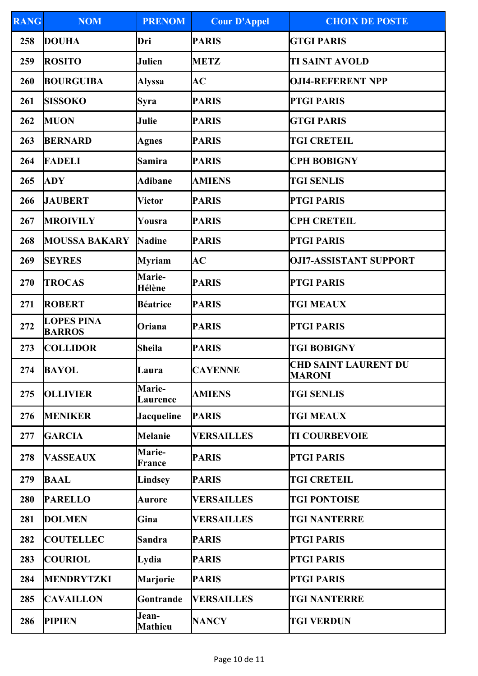| <b>RANG</b> | <b>NOM</b>                         | <b>PRENOM</b>             | <b>Cour D'Appel</b> | <b>CHOIX DE POSTE</b>                        |
|-------------|------------------------------------|---------------------------|---------------------|----------------------------------------------|
| 258         | <b>DOUHA</b>                       | Dri                       | <b>PARIS</b>        | <b>GTGI PARIS</b>                            |
| 259         | <b>ROSITO</b>                      | <b>Julien</b>             | <b>METZ</b>         | <b>TI SAINT AVOLD</b>                        |
| 260         | <b>BOURGUIBA</b>                   | <b>Alyssa</b>             | AC                  | <b>OJI4-REFERENT NPP</b>                     |
| 261         | <b>SISSOKO</b>                     | <b>Syra</b>               | <b>PARIS</b>        | <b>PTGI PARIS</b>                            |
| 262         | <b>MUON</b>                        | Julie                     | <b>PARIS</b>        | <b>GTGI PARIS</b>                            |
| 263         | <b>BERNARD</b>                     | <b>Agnes</b>              | <b>PARIS</b>        | <b>TGI CRETEIL</b>                           |
| 264         | <b>FADELI</b>                      | Samira                    | <b>PARIS</b>        | <b>CPH BOBIGNY</b>                           |
| 265         | <b>ADY</b>                         | <b>Adibane</b>            | <b>AMIENS</b>       | <b>TGI SENLIS</b>                            |
| 266         | <b>JAUBERT</b>                     | <b>Victor</b>             | <b>PARIS</b>        | <b>PTGI PARIS</b>                            |
| 267         | <b>MROIVILY</b>                    | Yousra                    | <b>PARIS</b>        | <b>CPH CRETEIL</b>                           |
| 268         | <b>MOUSSA BAKARY</b>               | <b>Nadine</b>             | <b>PARIS</b>        | <b>PTGI PARIS</b>                            |
| 269         | <b>SEYRES</b>                      | <b>Myriam</b>             | AC                  | <b>OJI7-ASSISTANT SUPPORT</b>                |
| 270         | <b>TROCAS</b>                      | <b>Marie-</b><br>Hélène   | <b>PARIS</b>        | <b>PTGI PARIS</b>                            |
| 271         | <b>ROBERT</b>                      | <b>Béatrice</b>           | <b>PARIS</b>        | <b>TGI MEAUX</b>                             |
| 272         | <b>LOPES PINA</b><br><b>BARROS</b> | Oriana                    | <b>PARIS</b>        | <b>PTGI PARIS</b>                            |
| 273         | <b>COLLIDOR</b>                    | <b>Sheila</b>             | <b>PARIS</b>        | <b>TGI BOBIGNY</b>                           |
| 274         | <b>BAYOL</b>                       | Laura                     | <b>CAYENNE</b>      | <b>CHD SAINT LAURENT DU</b><br><b>MARONI</b> |
| 275         | <b>OLLIVIER</b>                    | <b>Marie-</b><br>Laurence | <b>AMIENS</b>       | <b>TGI SENLIS</b>                            |
| 276         | <b>MENIKER</b>                     | <b>Jacqueline</b>         | <b>PARIS</b>        | <b>TGI MEAUX</b>                             |
| 277         | <b>GARCIA</b>                      | <b>Melanie</b>            | <b>VERSAILLES</b>   | <b>TI COURBEVOIE</b>                         |
| 278         | <b>VASSEAUX</b>                    | <b>Marie-</b><br>France   | <b>PARIS</b>        | <b>PTGI PARIS</b>                            |
| 279         | <b>BAAL</b>                        | <b>Lindsey</b>            | <b>PARIS</b>        | <b>TGI CRETEIL</b>                           |
| 280         | <b>PARELLO</b>                     | Aurore                    | <b>VERSAILLES</b>   | <b>TGI PONTOISE</b>                          |
| 281         | <b>DOLMEN</b>                      | Gina                      | <b>VERSAILLES</b>   | <b>TGI NANTERRE</b>                          |
| 282         | <b>COUTELLEC</b>                   | Sandra                    | <b>PARIS</b>        | <b>PTGI PARIS</b>                            |
| 283         | <b>COURIOL</b>                     | Lydia                     | <b>PARIS</b>        | <b>PTGI PARIS</b>                            |
| 284         | <b>MENDRYTZKI</b>                  | <b>Marjorie</b>           | <b>PARIS</b>        | <b>PTGI PARIS</b>                            |
| 285         | <b>CAVAILLON</b>                   | Gontrande                 | <b>VERSAILLES</b>   | <b>TGI NANTERRE</b>                          |
| 286         | <b>PIPIEN</b>                      | Jean-<br><b>Mathieu</b>   | <b>NANCY</b>        | <b>TGI VERDUN</b>                            |